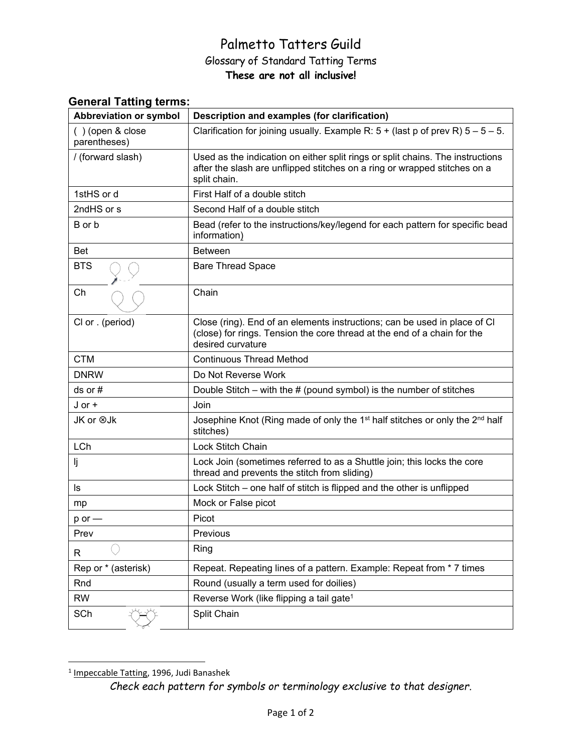## Palmetto Tatters Guild Glossary of Standard Tatting Terms **These are not all inclusive!**

| <b>Abbreviation or symbol</b>    | Description and examples (for clarification)                                                                                                                                |
|----------------------------------|-----------------------------------------------------------------------------------------------------------------------------------------------------------------------------|
| () (open & close<br>parentheses) | Clarification for joining usually. Example R: $5 +$ (last p of prev R) $5 - 5 - 5$ .                                                                                        |
| / (forward slash)                | Used as the indication on either split rings or split chains. The instructions<br>after the slash are unflipped stitches on a ring or wrapped stitches on a<br>split chain. |
| 1stHS or d                       | First Half of a double stitch                                                                                                                                               |
| 2ndHS or s                       | Second Half of a double stitch                                                                                                                                              |
| B or b                           | Bead (refer to the instructions/key/legend for each pattern for specific bead<br>information)                                                                               |
| <b>Bet</b>                       | <b>Between</b>                                                                                                                                                              |
| <b>BTS</b>                       | <b>Bare Thread Space</b>                                                                                                                                                    |
| Ch                               | Chain                                                                                                                                                                       |
| CI or . (period)                 | Close (ring). End of an elements instructions; can be used in place of CI<br>(close) for rings. Tension the core thread at the end of a chain for the<br>desired curvature  |
| <b>CTM</b>                       | <b>Continuous Thread Method</b>                                                                                                                                             |
| <b>DNRW</b>                      | Do Not Reverse Work                                                                                                                                                         |
| $ds$ or $#$                      | Double Stitch – with the $#$ (pound symbol) is the number of stitches                                                                                                       |
| $J$ or $+$                       | Join                                                                                                                                                                        |
| JK or ⊗Jk                        | Josephine Knot (Ring made of only the 1 <sup>st</sup> half stitches or only the 2 <sup>nd</sup> half<br>stitches)                                                           |
| LCh                              | Lock Stitch Chain                                                                                                                                                           |
| IJ                               | Lock Join (sometimes referred to as a Shuttle join; this locks the core<br>thread and prevents the stitch from sliding)                                                     |
| ls                               | Lock Stitch – one half of stitch is flipped and the other is unflipped                                                                                                      |
| mp                               | Mock or False picot                                                                                                                                                         |
| $p$ or $-$                       | Picot                                                                                                                                                                       |
| Prev                             | Previous                                                                                                                                                                    |
| R                                | Ring                                                                                                                                                                        |
| Rep or * (asterisk)              | Repeat. Repeating lines of a pattern. Example: Repeat from * 7 times                                                                                                        |
| Rnd                              | Round (usually a term used for doilies)                                                                                                                                     |
| <b>RW</b>                        | Reverse Work (like flipping a tail gate <sup>1</sup>                                                                                                                        |
| SCh                              | Split Chain                                                                                                                                                                 |

## **General Tatting terms:**

<sup>&</sup>lt;sup>1</sup> Impeccable Tatting, 1996, Judi Banashek

*Check each pattern for symbols or terminology exclusive to that designer.*